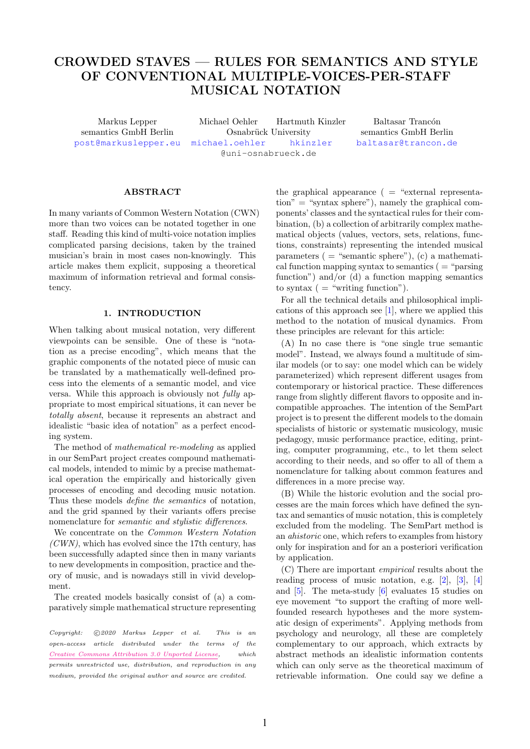# CROWDED STAVES — RULES FOR SEMANTICS AND STYLE OF CONVENTIONAL MULTIPLE-VOICES-PER-STAFF MUSICAL NOTATION

Markus Lepper Michael Oehler Hartmuth Kinzler Baltasar Trancón semantics GmbH Berlin Cosnabrück University semantics GmbH Berlin [post@markuslepper.eu](mailto:post@markuslepper.eu) [michael.oehler](mailto:michael.oehler@uni-osnabrueck.de) [hkinzler](mailto:hkinzler.oehler@uni-osnabrueck.de) [baltasar@trancon.de](mailto:baltasar@trancon.de) @uni-osnabrueck.de

#### ABSTRACT

In many variants of Common Western Notation (CWN) more than two voices can be notated together in one staff. Reading this kind of multi-voice notation implies complicated parsing decisions, taken by the trained musician's brain in most cases non-knowingly. This article makes them explicit, supposing a theoretical maximum of information retrieval and formal consistency.

# 1. INTRODUCTION

When talking about musical notation, very different viewpoints can be sensible. One of these is "notation as a precise encoding", which means that the graphic components of the notated piece of music can be translated by a mathematically well-defined process into the elements of a semantic model, and vice versa. While this approach is obviously not fully appropriate to most empirical situations, it can never be totally absent, because it represents an abstract and idealistic "basic idea of notation" as a perfect encoding system.

The method of mathematical re-modeling as applied in our SemPart project creates compound mathematical models, intended to mimic by a precise mathematical operation the empirically and historically given processes of encoding and decoding music notation. Thus these models define the semantics of notation, and the grid spanned by their variants offers precise nomenclature for semantic and stylistic differences.

We concentrate on the Common Western Notation  $(CWN)$ , which has evolved since the 17th century, has been successfully adapted since then in many variants to new developments in composition, practice and theory of music, and is nowadays still in vivid development.

The created models basically consist of (a) a comparatively simple mathematical structure representing

Copyright:  $\bigcirc$  2020 Markus Lepper et al. This is an open-access article distributed under the terms of the [Creative Commons Attribution 3.0 Unported License,](http://creativecommons.org/licenses/by/3.0/) which permits unrestricted use, distribution, and reproduction in any medium, provided the original author and source are credited.

the graphical appearance  $($  = "external representa- $\text{tion}'' = \text{``syntax sphere''}$ , namely the graphical components' classes and the syntactical rules for their combination, (b) a collection of arbitrarily complex mathematical objects (values, vectors, sets, relations, functions, constraints) representing the intended musical parameters  $($  = "semantic sphere"),  $(c)$  a mathematical function mapping syntax to semantics  $($  = "parsing" function") and/or (d) a function mapping semantics to syntax  $($  = "writing function").

For all the technical details and philosophical implications of this approach see [1], where we applied this method to the notation of musical dynamics. From these principles are relevant for this article:

(A) In no case there is "one single true semantic model". Instead, we always found a multitude of similar models (or to say: one model which can be widely parameterized) which represent different usages from contemporary or historical practice. These differences range from slightly different flavors to opposite and incompatible approaches. The intention of the SemPart project is to present the different models to the domain specialists of historic or systematic musicology, music pedagogy, music performance practice, editing, printing, computer programming, etc., to let them select according to their needs, and so offer to all of them a nomenclature for talking about common features and differences in a more precise way.

(B) While the historic evolution and the social processes are the main forces which have defined the syntax and semantics of music notation, this is completely excluded from the modeling. The SemPart method is an ahistoric one, which refers to examples from history only for inspiration and for an a posteriori verification by application.

(C) There are important empirical results about the reading process of music notation, e.g. [2], [3], [4] and [5]. The meta-study [6] evaluates 15 studies on eye movement "to support the crafting of more wellfounded research hypotheses and the more systematic design of experiments". Applying methods from psychology and neurology, all these are completely complementary to our approach, which extracts by abstract methods an idealistic information contents which can only serve as the theoretical maximum of retrievable information. One could say we define a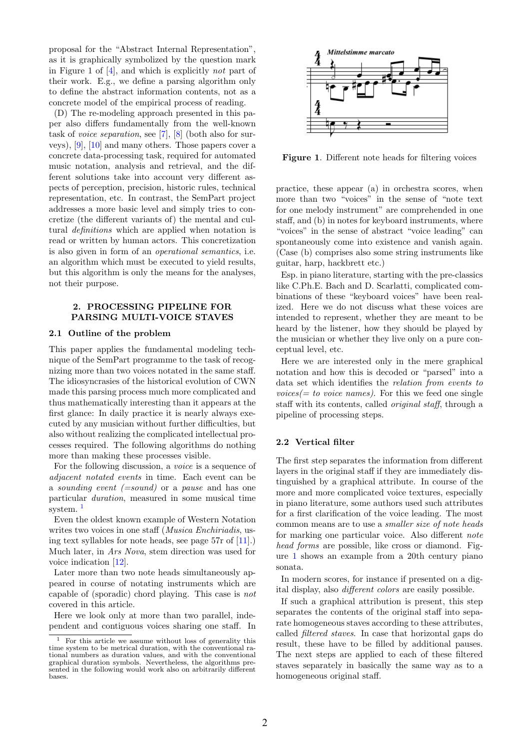proposal for the "Abstract Internal Representation", as it is graphically symbolized by the question mark in Figure 1 of [4], and which is explicitly not part of their work. E.g., we define a parsing algorithm only to define the abstract information contents, not as a concrete model of the empirical process of reading.

(D) The re-modeling approach presented in this paper also differs fundamentally from the well-known task of voice separation, see [7], [8] (both also for surveys), [9], [10] and many others. Those papers cover a concrete data-processing task, required for automated music notation, analysis and retrieval, and the different solutions take into account very different aspects of perception, precision, historic rules, technical representation, etc. In contrast, the SemPart project addresses a more basic level and simply tries to concretize (the different variants of) the mental and cultural definitions which are applied when notation is read or written by human actors. This concretization is also given in form of an operational semantics, i.e. an algorithm which must be executed to yield results, but this algorithm is only the means for the analyses, not their purpose.

## 2. PROCESSING PIPELINE FOR PARSING MULTI-VOICE STAVES

## 2.1 Outline of the problem

This paper applies the fundamental modeling technique of the SemPart programme to the task of recognizing more than two voices notated in the same staff. The idiosyncrasies of the historical evolution of CWN made this parsing process much more complicated and thus mathematically interesting than it appears at the first glance: In daily practice it is nearly always executed by any musician without further difficulties, but also without realizing the complicated intellectual processes required. The following algorithms do nothing more than making these processes visible.

For the following discussion, a voice is a sequence of adjacent notated events in time. Each event can be a *sounding event*  $(=sound)$  or a *pause* and has one particular duration, measured in some musical time system.<sup>1</sup>

Even the oldest known example of Western Notation writes two voices in one staff (*Musica Enchiriadis*, using text syllables for note heads, see page 57r of [11].) Much later, in Ars Nova, stem direction was used for voice indication [12].

Later more than two note heads simultaneously appeared in course of notating instruments which are capable of (sporadic) chord playing. This case is not covered in this article.

Here we look only at more than two parallel, independent and contiguous voices sharing one staff. In



Figure 1. Different note heads for filtering voices

practice, these appear (a) in orchestra scores, when more than two "voices" in the sense of "note text for one melody instrument" are comprehended in one staff, and (b) in notes for keyboard instruments, where "voices" in the sense of abstract "voice leading" can spontaneously come into existence and vanish again. (Case (b) comprises also some string instruments like guitar, harp, hackbrett etc.)

Esp. in piano literature, starting with the pre-classics like C.Ph.E. Bach and D. Scarlatti, complicated combinations of these "keyboard voices" have been realized. Here we do not discuss what these voices are intended to represent, whether they are meant to be heard by the listener, how they should be played by the musician or whether they live only on a pure conceptual level, etc.

Here we are interested only in the mere graphical notation and how this is decoded or "parsed" into a data set which identifies the relation from events to  $voices(= to voice names).$  For this we feed one single staff with its contents, called original staff, through a pipeline of processing steps.

## 2.2 Vertical filter

The first step separates the information from different layers in the original staff if they are immediately distinguished by a graphical attribute. In course of the more and more complicated voice textures, especially in piano literature, some authors used such attributes for a first clarification of the voice leading. The most common means are to use a smaller size of note heads for marking one particular voice. Also different note head forms are possible, like cross or diamond. Figure 1 shows an example from a 20th century piano sonata.

In modern scores, for instance if presented on a digital display, also different colors are easily possible.

If such a graphical attribution is present, this step separates the contents of the original staff into separate homogeneous staves according to these attributes, called filtered staves. In case that horizontal gaps do result, these have to be filled by additional pauses. The next steps are applied to each of these filtered staves separately in basically the same way as to a homogeneous original staff.

 $1$  For this article we assume without loss of generality this time system to be metrical duration, with the conventional rational numbers as duration values, and with the conventional graphical duration symbols. Nevertheless, the algorithms presented in the following would work also on arbitrarily different bases.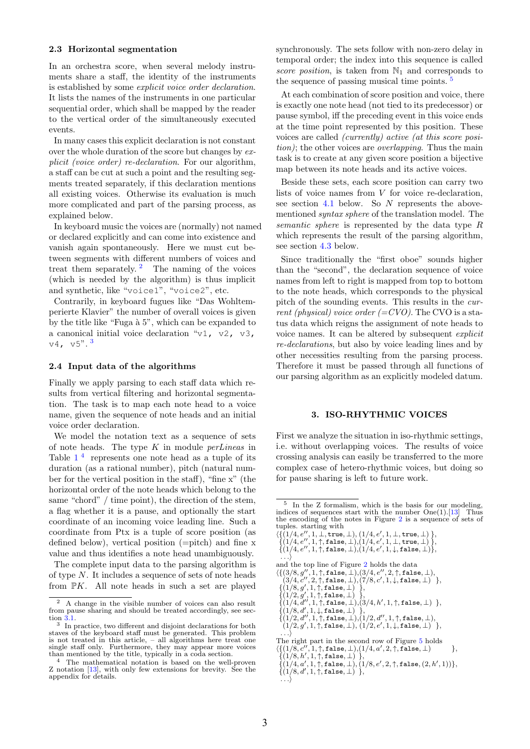#### 2.3 Horizontal segmentation

In an orchestra score, when several melody instruments share a staff, the identity of the instruments is established by some explicit voice order declaration. It lists the names of the instruments in one particular sequential order, which shall be mapped by the reader to the vertical order of the simultaneously executed events.

In many cases this explicit declaration is not constant over the whole duration of the score but changes by explicit (voice order) re-declaration. For our algorithm, a staff can be cut at such a point and the resulting segments treated separately, if this declaration mentions all existing voices. Otherwise its evaluation is much more complicated and part of the parsing process, as explained below.

In keyboard music the voices are (normally) not named or declared explicitly and can come into existence and vanish again spontaneously. Here we must cut between segments with different numbers of voices and treat them separately.  $\frac{2}{1}$  The naming of the voices (which is needed by the algorithm) is thus implicit and synthetic, like "voice1", "voice2", etc.

Contrarily, in keyboard fugues like "Das Wohltemperierte Klavier" the number of overall voices is given by the title like "Fuga à 5", which can be expanded to a canonical initial voice declaration " $v1$ ,  $v2$ ,  $v3$ ,  $v4, v5$ ". 3

#### 2.4 Input data of the algorithms

Finally we apply parsing to each staff data which results from vertical filtering and horizontal segmentation. The task is to map each note head to a voice name, given the sequence of note heads and an initial voice order declaration.

We model the notation text as a sequence of sets of note heads. The type  $K$  in module *perLineas* in Table  $1<sup>4</sup>$  represents one note head as a tuple of its duration (as a rational number), pitch (natural number for the vertical position in the staff), "fine x" (the horizontal order of the note heads which belong to the same "chord" / time point), the direction of the stem, a flag whether it is a pause, and optionally the start coordinate of an incoming voice leading line. Such a coordinate from Ptx is a tuple of score position (as defined below), vertical position (=pitch) and fine x value and thus identifies a note head unambiguously.

The complete input data to the parsing algorithm is of type N. It includes a sequence of sets of note heads from  $\mathbb{P}K$ . All note heads in such a set are played synchronously. The sets follow with non-zero delay in temporal order; the index into this sequence is called score position, is taken from  $\mathbb{N}_1$  and corresponds to the sequence of passing musical time points. 5

At each combination of score position and voice, there is exactly one note head (not tied to its predecessor) or pause symbol, iff the preceding event in this voice ends at the time point represented by this position. These voices are called (currently) active (at this score position); the other voices are overlapping. Thus the main task is to create at any given score position a bijective map between its note heads and its active voices.

Beside these sets, each score position can carry two lists of voice names from V for voice re-declaration, see section  $4.1$  below. So  $N$  represents the abovementioned syntax sphere of the translation model. The semantic sphere is represented by the data type R which represents the result of the parsing algorithm, see section 4.3 below.

Since traditionally the "first oboe" sounds higher than the "second", the declaration sequence of voice names from left to right is mapped from top to bottom to the note heads, which corresponds to the physical pitch of the sounding events. This results in the current (physical) voice order  $(=CVO)$ . The CVO is a status data which reigns the assignment of note heads to voice names. It can be altered by subsequent explicit re-declarations, but also by voice leading lines and by other necessities resulting from the parsing process. Therefore it must be passed through all functions of our parsing algorithm as an explicitly modeled datum.

## 3. ISO-RHYTHMIC VOICES

First we analyze the situation in iso-rhythmic settings, i.e. without overlapping voices. The results of voice crossing analysis can easily be transferred to the more complex case of hetero-rhythmic voices, but doing so for pause sharing is left to future work.

 $\{ \{1/4, e'', 1, \perp, \text{true}, \perp), (1/4, e', 1, \perp, \text{true}, \perp) \}, \{ (1/4, e'', 1, \uparrow, \text{false}, \perp), (1/4, e', 1, \perp, \text{true}, \perp) \}, \{ (1/4, e'', 1, \uparrow, \text{false}, \perp), (1/4, e', 1, \downarrow, \text{false}, \perp) \}, \ldots \}$ 

```
and the top line of Figure 2 holds the data
```

```
\langle \{ (3/8, g'', 1, \uparrow, \mathtt{false}, \bot), (3/4, e'', 2, \uparrow, \mathtt{false}, \bot), \\ (3/4, c'', 2, \uparrow, \mathtt{false}, \bot), (7/8, c', 1, \downarrow, \mathtt{false}, \bot) \rangle \}
```

```
\{ (1/8, g', 1, \uparrow, \texttt{false}, \bot) \},\ \{ (1/2, g', 1, \uparrow, \texttt{false}, \bot) \},\ \{ (1/4, d'', 1, \uparrow, \texttt{false}, \bot), (3/4, h', 1, \uparrow, \texttt{false}, \bot) \},
```

```
\{(1/8, d', 1, \downarrow, \mathtt{false}, \bot)'\},\{(1/2, d'', 1, \uparrow, \mathtt{false}, \bot), (1/2, d'', 1, \uparrow, \mathtt{false}, \bot),
```

```
(1/2, g', 1, \uparrow, \mathtt{false}, \bot), (1/2, e', 1, \downarrow, \mathtt{false}, \bot)<sup>'</sup> },
. . .\rangle
```
<sup>2</sup> A change in the visible number of voices can also result from pause sharing and should be treated accordingly, see section 3.1. 3 In practice, two different and disjoint declarations for both

staves of the keyboard staff must be generated. This problem is not treated in this article, – all algorithms here treat one single staff only. Furthermore, they may appear more voices than mentioned by the title, typically in a coda section.

<sup>4</sup> The mathematical notation is based on the well-proven Z notation [13], with only few extensions for brevity. See the appendix for details.

<sup>5</sup> In the Z formalism, which is the basis for our modeling, indices of sequences start with the number  $One(1)$ .[13] Thus the encoding of the notes in Figure 2 is a sequence of sets of tuples. starting with

The right part in the second row of Figure 5 holds<br>
{{(1/8, c'', 1, †, false,  $\bot$ ),(1/4, a', 2, †, false,  $\bot$ ) },<br>
{(1/8, h', 1, †, false,  $\bot$ ) },

 $\{(1/4, a', 1, ), \text{false}, \bot), (1/8, e', 2, \uparrow, \text{false}, (2, h', 1))\},\{(1/8, d', 1, \uparrow, \text{false}, \bot)\},\dots$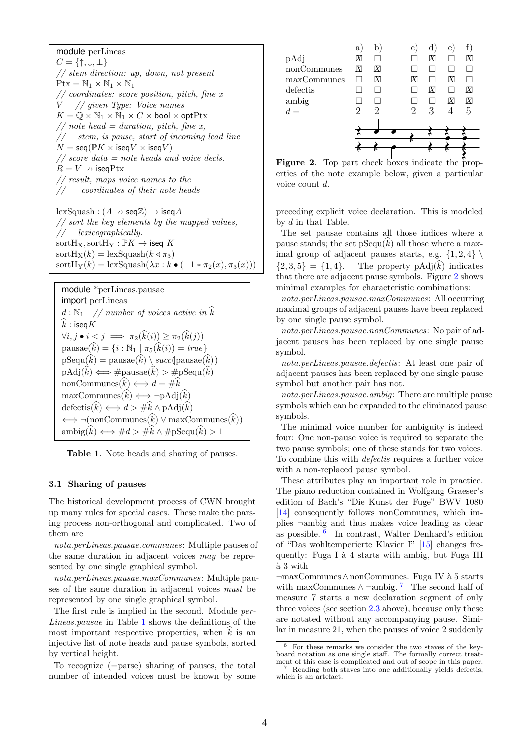module perLineas  $C = \{\uparrow, \downarrow, \perp\}$ // stem direction: up, down, not present  $Ptx = N_1 \times N_1 \times N_1$  $// coordinates: score position, pitch, fine x$ V // given Type: Voice names  $K = \mathbb{Q} \times \mathbb{N}_1 \times \mathbb{N}_1 \times C \times \text{bool} \times \text{optPtx}$ // note head = duration, pitch, fine x, // stem, is pause, start of incoming lead line  $N = \text{seq}(\mathbb{P}K \times \text{iseq}V \times \text{iseq}V)$  $//$  score data = note heads and voice decls.  $R = V \nrightarrow$  iseqPtx // result, maps voice names to the coordinates of their note heads  $lexSquash : (A \rightarrow seq\mathbb{Z}) \rightarrow iseqA$  $//$  sort the key elements by the mapped values, // lexicographically.  $\text{sortH}_X$ ,  $\text{sortH}_Y$  :  $\mathbb{P}K \to \text{iseq } K$  $\text{sortH}_{\text{X}}(k) = \text{lexSquash}(k \triangleleft \pi_3)$ sortH<sub>Y</sub>(k) = lexSquash( $\lambda x : k \bullet (-1 * \pi_2(x), \pi_3(x))$ )

module \*perLineas pausae  
\nimport perLineas  
\n
$$
d: \mathbb{N}_1
$$
 // number of vocies active in  $\hat{k}$   
\n $\hat{k}: \text{iseq}K$   
\n $\forall i, j \bullet i < j \implies \pi_2(\hat{k}(i)) \ge \pi_2(\hat{k}(j))$   
\npausae $(\hat{k}) = \{i : \mathbb{N}_1 | \pi_5(\hat{k}(i)) = true\}$   
\npSequ $(\hat{k}) = \text{pausae}(\hat{k}) \setminus succ(\text{pausae}(\hat{k}))$   
\npAdj $(\hat{k}) \iff \# \text{pausae}(\hat{k}) > \# \text{pSequ}(\hat{k})$   
\nnonCommunes $(\hat{k}) \iff d = \#\hat{k}$   
\nmaxCommunes $(\hat{k}) \iff \neg \text{pAdj}(\hat{k})$   
\ndefectis $(\hat{k}) \iff d > \#\hat{k} \land \text{pAdj}(\hat{k})$   
\n $\iff \neg (\text{nonCommunes}(\hat{k}) \lor \text{maxCommunes}(\hat{k}))$   
\nambig $(\hat{k}) \iff \#d > \#\hat{k} \land \# \text{pSequ}(\hat{k}) > 1$ 

Table 1. Note heads and sharing of pauses.

#### 3.1 Sharing of pauses

The historical development process of CWN brought up many rules for special cases. These make the parsing process non-orthogonal and complicated. Two of them are

nota.perLineas.pausae.communes: Multiple pauses of the same duration in adjacent voices may be represented by one single graphical symbol.

nota.perLineas.pausae.maxCommunes: Multiple pauses of the same duration in adjacent voices must be represented by one single graphical symbol.

The first rule is implied in the second. Module per-Lineas.pausae in Table 1 shows the definitions of the most important respective properties, when  $k$  is an injective list of note heads and pause symbols, sorted by vertical height.

To recognize (=parse) sharing of pauses, the total number of intended voices must be known by some



erties of the note example below, given a particular voice count d.

preceding explicit voice declaration. This is modeled by d in that Table.

The set pausae contains all those indices where a pause stands; the set  $pSequ(k)$  all those where a maximal group of adjacent pauses starts, e.g.  $\{1, 2, 4\}$  ${2,3,5} = {1,4}$ . The property pAdj $(k)$  indicates that there are adjacent pause symbols. Figure 2 shows minimal examples for characteristic combinations:

nota.perLineas.pausae.maxCommunes: All occurring maximal groups of adjacent pauses have been replaced by one single pause symbol.

nota.perLineas.pausae.nonCommunes: No pair of adjacent pauses has been replaced by one single pause symbol.

nota.perLineas.pausae.defectis: At least one pair of adjacent pauses has been replaced by one single pause symbol but another pair has not.

nota.perLineas.pausae.ambig: There are multiple pause symbols which can be expanded to the eliminated pause symbols.

The minimal voice number for ambiguity is indeed four: One non-pause voice is required to separate the two pause symbols; one of these stands for two voices. To combine this with defectis requires a further voice with a non-replaced pause symbol.

These attributes play an important role in practice. The piano reduction contained in Wolfgang Graeser's edition of Bach's "Die Kunst der Fuge" BWV 1080 [14] consequently follows nonCommunes, which implies ¬ambig and thus makes voice leading as clear as possible. 6 In contrast, Walter Denhard's edition of "Das wohltemperierte Klavier I" [15] changes frequently: Fuga I à 4 starts with ambig, but Fuga III `a 3 with

¬maxCommunes∧nonCommunes. Fuga IV `a 5 starts with maxCommunes  $\wedge \neg \text{ambig.}$  7 The second half of measure 7 starts a new declaration segment of only three voices (see section 2.3 above), because only these are notated without any accompanying pause. Similar in measure 21, when the pauses of voice 2 suddenly

 $6$  For these remarks we consider the two staves of the key-board notation as one single staff. The formally correct treatment of this case is complicated and out of scope in this paper.

Reading both staves into one additionally yields defectis, which is an artefact.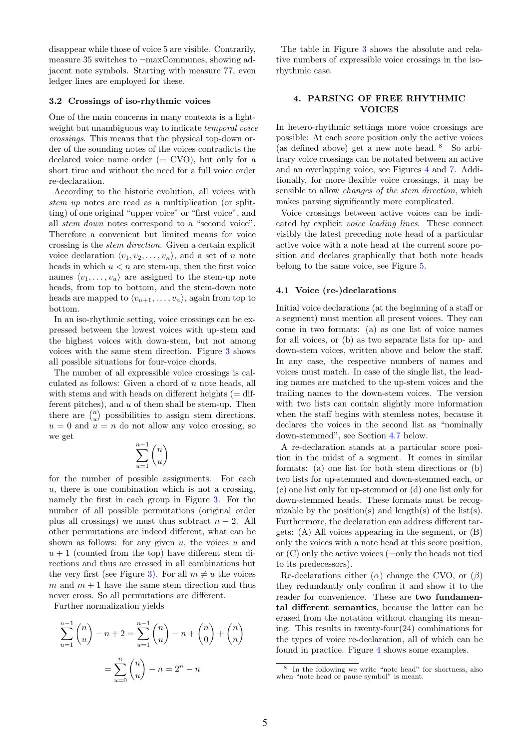disappear while those of voice 5 are visible. Contrarily, measure 35 switches to ¬maxCommunes, showing adjacent note symbols. Starting with measure 77, even ledger lines are employed for these.

#### 3.2 Crossings of iso-rhythmic voices

One of the main concerns in many contexts is a lightweight but unambiguous way to indicate temporal voice crossings. This means that the physical top-down order of the sounding notes of the voices contradicts the declared voice name order  $(=$  CVO), but only for a short time and without the need for a full voice order re-declaration.

According to the historic evolution, all voices with stem up notes are read as a multiplication (or splitting) of one original "upper voice" or "first voice", and all stem down notes correspond to a "second voice". Therefore a convenient but limited means for voice crossing is the stem direction. Given a certain explicit voice declaration  $\langle v_1, v_2, \ldots, v_n \rangle$ , and a set of n note heads in which  $u < n$  are stem-up, then the first voice names  $\langle v_1, \ldots, v_u \rangle$  are assigned to the stem-up note heads, from top to bottom, and the stem-down note heads are mapped to  $\langle v_{u+1}, \ldots, v_n \rangle$ , again from top to bottom.

In an iso-rhythmic setting, voice crossings can be expressed between the lowest voices with up-stem and the highest voices with down-stem, but not among voices with the same stem direction. Figure 3 shows all possible situations for four-voice chords.

The number of all expressible voice crossings is calculated as follows: Given a chord of  $n$  note heads, all with stems and with heads on different heights  $(=$  different pitches), and  $u$  of them shall be stem-up. Then there are  $\binom{n}{u}$  possibilities to assign stem directions.  $u = 0$  and  $u = n$  do not allow any voice crossing, so we get

$$
\sum_{u=1}^{n-1}\binom{n}{u}
$$

for the number of possible assignments. For each  $u$ , there is one combination which is not a crossing, namely the first in each group in Figure 3. For the number of all possible permutations (original order plus all crossings) we must thus subtract  $n - 2$ . All other permutations are indeed different, what can be shown as follows: for any given  $u$ , the voices  $u$  and  $u + 1$  (counted from the top) have different stem directions and thus are crossed in all combinations but the very first (see Figure 3). For all  $m \neq u$  the voices m and  $m + 1$  have the same stem direction and thus never cross. So all permutations are different.

Further normalization yields

$$
\sum_{u=1}^{n-1} {n \choose u} - n + 2 = \sum_{u=1}^{n-1} {n \choose u} - n + {n \choose 0} + {n \choose n}
$$

$$
= \sum_{u=0}^{n} {n \choose u} - n = 2^{n} - n
$$

The table in Figure 3 shows the absolute and relative numbers of expressible voice crossings in the isorhythmic case.

## 4. PARSING OF FREE RHYTHMIC VOICES

In hetero-rhythmic settings more voice crossings are possible: At each score position only the active voices (as defined above) get a new note head. 8 So arbitrary voice crossings can be notated between an active and an overlapping voice, see Figures 4 and 7. Additionally, for more flexible voice crossings, it may be sensible to allow changes of the stem direction, which makes parsing significantly more complicated.

Voice crossings between active voices can be indicated by explicit voice leading lines. These connect visibly the latest preceding note head of a particular active voice with a note head at the current score position and declares graphically that both note heads belong to the same voice, see Figure 5.

#### 4.1 Voice (re-)declarations

Initial voice declarations (at the beginning of a staff or a segment) must mention all present voices. They can come in two formats: (a) as one list of voice names for all voices, or (b) as two separate lists for up- and down-stem voices, written above and below the staff. In any case, the respective numbers of names and voices must match. In case of the single list, the leading names are matched to the up-stem voices and the trailing names to the down-stem voices. The version with two lists can contain slightly more information when the staff begins with stemless notes, because it declares the voices in the second list as "nominally down-stemmed", see Section 4.7 below.

A re-declaration stands at a particular score position in the midst of a segment. It comes in similar formats: (a) one list for both stem directions or (b) two lists for up-stemmed and down-stemmed each, or (c) one list only for up-stemmed or (d) one list only for down-stemmed heads. These formats must be recognizable by the position(s) and length(s) of the list(s). Furthermore, the declaration can address different targets: (A) All voices appearing in the segment, or (B) only the voices with a note head at this score position, or  $(C)$  only the active voices  $(=$ only the heads not tied to its predecessors).

Re-declarations either  $(\alpha)$  change the CVO, or  $(\beta)$ they redundantly only confirm it and show it to the reader for convenience. These are two fundamental different semantics, because the latter can be erased from the notation without changing its meaning. This results in twenty-four(24) combinations for the types of voice re-declaration, all of which can be found in practice. Figure 4 shows some examples.

<sup>8</sup> In the following we write "note head" for shortness, also when "note head or pause symbol" is meant.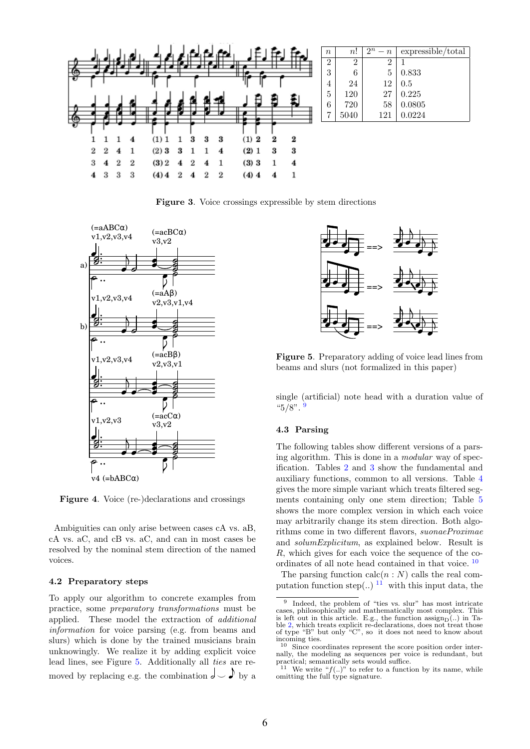

Figure 3. Voice crossings expressible by stem directions



Figure 4. Voice (re-)declarations and crossings

Ambiguities can only arise between cases cA vs. aB, cA vs. aC, and cB vs. aC, and can in most cases be resolved by the nominal stem direction of the named voices.

## 4.2 Preparatory steps

To apply our algorithm to concrete examples from practice, some preparatory transformations must be applied. These model the extraction of additional information for voice parsing (e.g. from beams and slurs) which is done by the trained musicians brain unknowingly. We realize it by adding explicit voice lead lines, see Figure 5. Additionally all ties are re-



Figure 5. Preparatory adding of voice lead lines from beams and slurs (not formalized in this paper)

single (artificial) note head with a duration value of  $^{14}5/8"$ . 9

# 4.3 Parsing

The following tables show different versions of a parsing algorithm. This is done in a modular way of specification. Tables 2 and 3 show the fundamental and auxiliary functions, common to all versions. Table 4 gives the more simple variant which treats filtered segments containing only one stem direction; Table 5 shows the more complex version in which each voice may arbitrarily change its stem direction. Both algorithms come in two different flavors, suonaeProximae and solumExplicitum, as explained below. Result is R, which gives for each voice the sequence of the coordinates of all note head contained in that voice. 10

The parsing function  $\operatorname{calc}(n : N)$  calls the real computation function step(..) <sup>11</sup> with this input data, the

<sup>9</sup> Indeed, the problem of "ties vs. slur" has most intricate cases, philosophically and mathematically most complex. This is left out in this article. E.g., the function  $\mathrm{assign}_{D}(.)$  in Table 2, which treats explicit re-declarations, does not treat those of type "B" but only "C", so it does not need to know about incoming ties.

<sup>&</sup>lt;sup>10</sup> Since coordinates represent the score position order internally, the modeling as sequences per voice is redundant, but practical; semantically sets would suffice.

<sup>&</sup>lt;sup>11</sup> We write " $f(..)$ " to refer to a function by its name, while omitting the full type signature.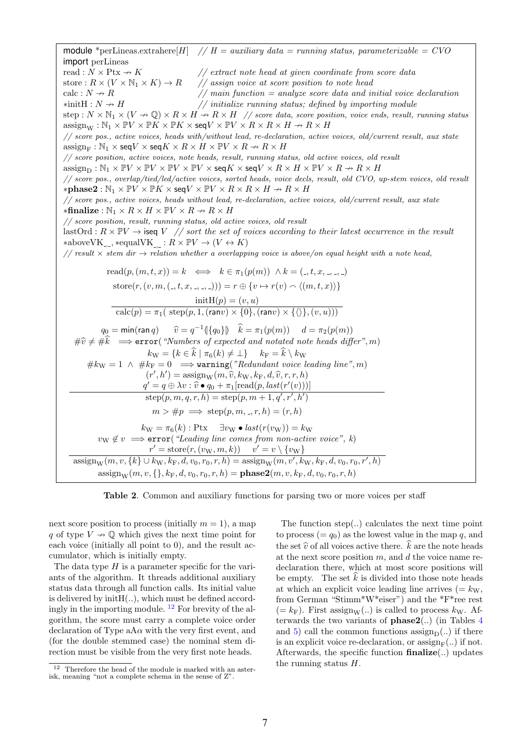module \*perLineas.extrahere $[H]$  //  $H = auxiliary \ data = running \ status, parameterizable = CVO$ import perLineas read :  $N \times \text{Ptx} \rightarrow K$  // extract note head at given coordinate from score data store :  $R \times (V \times N_1 \times K) \rightarrow R$  // assign voice at score position to note head calc :  $N \nightharpoonup R$  // main function = analyze score data and initial voice declaration  $*initH : N \rightarrow H$  // initialize running status; defined by importing module step :  $N \times \mathbb{N}_1 \times (V \to \mathbb{Q}) \times R \times H \to R \times H$  // score data, score position, voice ends, result, running status  $\text{assign}_W : \mathbb{N}_1 \times \mathbb{P}V \times \mathbb{P}K \times \mathbb{P}K \times \text{seq}V \times \mathbb{P}V \times R \times R \times H \rightarrow R \times H$ // score pos., active voices, heads with/without lead, re-declaration, active voices, old/current result, aux state  $\text{assign}_{E}: \mathbb{N}_1 \times \text{seq}V \times \text{seq}K \times R \times H \times \mathbb{P}V \times R \rightarrow R \times H$ // score position, active voices, note heads, result, running status, old active voices, old result  $\text{assign}_{\text{D}} : \mathbb{N}_1 \times \mathbb{P} V \times \mathbb{P} V \times \mathbb{P} V \times \text{seq} K \times \text{seq} V \times R \times H \times \mathbb{P} V \times R \nrightarrow R \times H$ // score pos., overlap/tied/led/active voices, sorted heads, voice decls, result, old CVO, up-stem voices, old result  $*$ **phase2** :  $\mathbb{N}_1 \times \mathbb{P}V \times \mathbb{P}K \times$  seq $V \times \mathbb{P}V \times R \times R \times H \rightarrow R \times H$ // score pos., active voices, heads without lead, re-declaration, active voices, old/current result, aux state  $*$ finalize :  $\mathbb{N}_1 \times R \times H \times \mathbb{P} V \times R \to R \times H$ // score position, result, running status, old active voices, old result lastOrd :  $R \times \mathbb{P}V \rightarrow$  iseq V // sort the set of voices according to their latest occurrence in the result \*above $VK_{-, -}$ , \*equal $VK_{-, -} : R \times \mathbb{P} V \to (V \leftrightarrow K)$ // result  $\times$  stem dir  $\rightarrow$  relation whether a overlapping voice is above/on equal height with a note head, read $(p,(m,t,x)) = k \iff k \in \pi_1(p(m)) \land k = (\_,t, x, \_,\_,\_)$ store $(r, (v, m, (h_1, t, x, h_1, h_2))) = r \oplus \{v \mapsto r(v) \wedge \langle (m, t, x) \rangle\}$  $\text{initH}(p) = (v, u)$  $\text{calc}(p) = \pi_1(\ \text{step}(p, 1, (\text{ran}v) \times \{0\}, (\text{ran}v) \times \{\langle \rangle\},(v, u)))$  $q_0 = \min(\tan q)$   $\hat{v} = q^{-1}(\lbrace q_0 \rbrace)$   $\hat{k} = \pi_1(p(m))$   $d = \pi_2(p(m))$  $\#\widehat{v}\neq \#\widehat{k} \implies \textbf{error}("Numbers of expected and notated note heads differ", m)$  $k_{\text{W}} = \{k \in \widehat{k} \mid \pi_6(k) \neq \perp\}$   $k_F = \widehat{k} \setminus k_W$  $#k_W = 1 \wedge #k_F = 0 \implies$  warning("Redundant voice leading line", m)  $(r', h') = \text{assign}_W(m, \hat{v}, k_W, k_F, d, \hat{v}, r, r, h)$ <br> $s' = a \oplus \lambda v : \hat{v} \bullet a + \pi, \text{prod}(p, \text{last}(r'(v)))$  $q' = q \oplus \lambda v : \widehat{v} \bullet q_0 + \pi_1[\text{read}(p, last(r'(v)))]$  $step(p, m, q, r, h) = step(p, m + 1, q', r', h')$  $m > \text{\#p} \implies \text{step}(p, m, \_, r, h) = (r, h)$  $k_{\mathrm{W}} = \pi_6(k)$ : Ptx  $\exists v_{\mathrm{W}} \bullet last(r(v_{\mathrm{W}})) = k_{\mathrm{W}}$  $v_W \notin v \implies \text{error}(\text{``Leading line comes from non-active voice''}, k)$  $r' = \text{store}(r, (v_W, m, k)) \quad v' = v \setminus \{v_W\}$  $\text{assign}_W(m, v, \{k\} \cup k_W, k_F, d, v_0, r_0, r, h) = \text{assign}_W(m, v', k_W, k_F, d, v_0, r_0, r', h)$  $\operatorname{assign}_{W}(m, v, \{\}, k_{F}, d, v_{0}, r_{0}, r, h) = \text{phase2}(m, v, k_{F}, d, v_{0}, r_{0}, r, h)$ 

Table 2. Common and auxiliary functions for parsing two or more voices per staff

next score position to process (initially  $m = 1$ ), a map q of type  $V \nightharpoonup \mathbb{Q}$  which gives the next time point for each voice (initially all point to 0), and the result accumulator, which is initially empty.

The data type  $H$  is a parameter specific for the variants of the algorithm. It threads additional auxiliary status data through all function calls. Its initial value is delivered by  $initH(...)$ , which must be defined accordingly in the importing module.  $^{12}$  For brevity of the algorithm, the score must carry a complete voice order declaration of Type  $aA\alpha$  with the very first event, and (for the double stemmed case) the nominal stem direction must be visible from the very first note heads.

The function step $(.)$  calculates the next time point to process  $(= q_0)$  as the lowest value in the map q, and the set  $\hat{v}$  of all voices active there.  $\hat{k}$  are the note heads at the next score position  $m$ , and  $d$  the voice name redeclaration there, which at most score positions will be empty. The set  $\hat{k}$  is divided into those note heads at which an explicit voice leading line arrives  $(= k_{\rm W},$ from German "Stimm\*W\*eiser") and the \*F\*ree rest  $(= k_{\rm F})$ . First assign<sub>W</sub>(..) is called to process  $k_{\rm W}$ . Afterwards the two variants of **phase2**(..) (in Tables  $4$ and 5) call the common functions  $\operatorname{assign}_{\mathcal{D}}(.)$  if there is an explicit voice re-declaration, or  $\operatorname{assign}_{\mathbb{F}}(.)$  if not. Afterwards, the specific function finalize(..) updates the running status H.

 $\frac{12}{12}$  Therefore the head of the module is marked with an asterisk, meaning "not a complete schema in the sense of Z".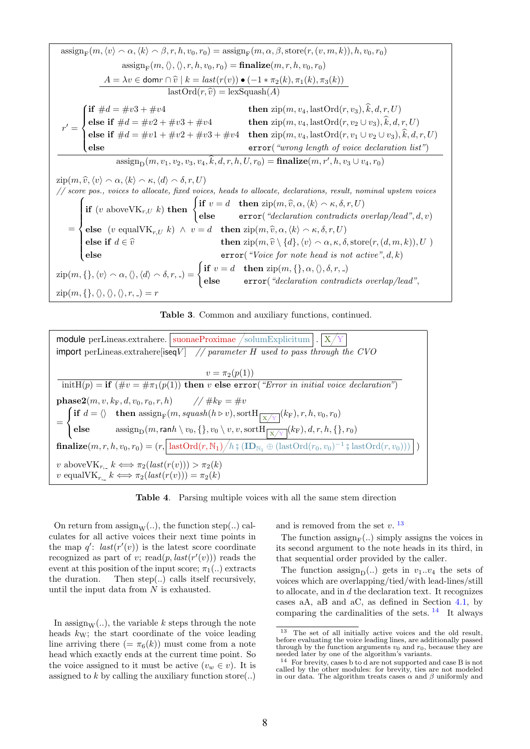





Table 4. Parsing multiple voices with all the same stem direction

On return from  $\text{assign}_W(.)$ , the function step(..) calculates for all active voices their next time points in the map  $q'$ :  $last(r'(v))$  is the latest score coordinate recognized as part of v; read $(p, last(r'(v)))$  reads the event at this position of the input score;  $\pi_1(.)$  extracts the duration. Then step(..) calls itself recursively, until the input data from N is exhausted.

In assign<sub>W</sub>(..), the variable k steps through the note heads  $k_{\rm W}$ ; the start coordinate of the voice leading line arriving there  $(=\pi_6(k))$  must come from a note head which exactly ends at the current time point. So the voice assigned to it must be active  $(v_w \in v)$ . It is assigned to k by calling the auxiliary function store $(.)$  and is removed from the set  $v$ .<sup>13</sup>

The function  $\mathrm{assign}_{F}(..)$  simply assigns the voices in its second argument to the note heads in its third, in that sequential order provided by the caller.

The function assign<sub>D</sub>(..) gets in  $v_1...v_4$  the sets of voices which are overlapping/tied/with lead-lines/still to allocate, and in d the declaration text. It recognizes cases aA, aB and aC, as defined in Section 4.1, by comparing the cardinalities of the sets.  $^{14}$  It always

<sup>&</sup>lt;sup>13</sup> The set of all initially active voices and the old result, before evaluating the voice leading lines, are additionally passed through by the function arguments  $v_0$  and  $r_0$ , because they are needed later by one of the algorithm's variants.

<sup>14</sup> For brevity, cases b to d are not supported and case B is not called by the other modules: for brevity, ties are not modeled in our data. The algorithm treats cases  $\alpha$  and  $\beta$  uniformly and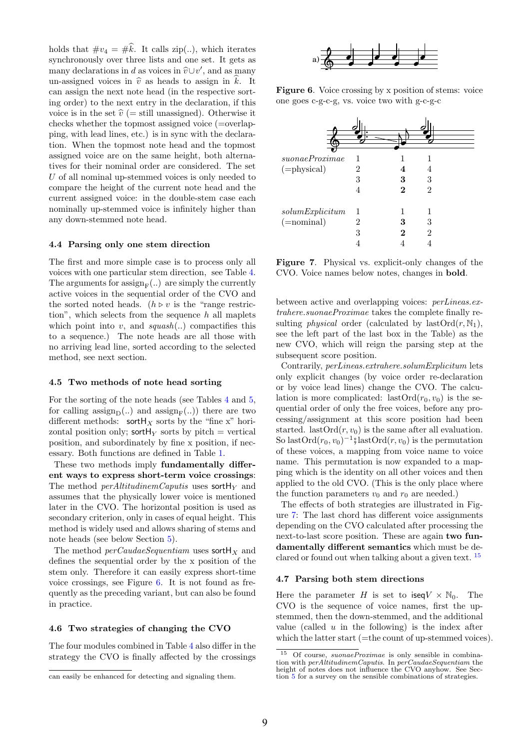holds that  $\#v_4 = \#\hat{k}$ . It calls zip(..), which iterates synchronously over three lists and one set. It gets as many declarations in d as voices in  $\hat{v} \cup v'$ , and as many<br>un assigned voices in  $\hat{v}$  as heads to assign in  $\hat{k}$ . It un-assigned voices in  $\hat{v}$  as heads to assign in k. It can assign the next note head (in the respective sorting order) to the next entry in the declaration, if this voice is in the set  $\hat{v}$  (= still unassigned). Otherwise it checks whether the topmost assigned voice (=overlapping, with lead lines, etc.) is in sync with the declaration. When the topmost note head and the topmost assigned voice are on the same height, both alternatives for their nominal order are considered. The set U of all nominal up-stemmed voices is only needed to compare the height of the current note head and the current assigned voice: in the double-stem case each nominally up-stemmed voice is infinitely higher than any down-stemmed note head.

## 4.4 Parsing only one stem direction

The first and more simple case is to process only all voices with one particular stem direction, see Table 4. The arguments for  $\operatorname{assign}_{F}(.)$  are simply the currently active voices in the sequential order of the CVO and the sorted noted heads. ( $h \triangleright v$  is the "range restriction", which selects from the sequence  $h$  all maplets which point into  $v$ , and  $squash(...)$  compactifies this to a sequence.) The note heads are all those with no arriving lead line, sorted according to the selected method, see next section.

#### 4.5 Two methods of note head sorting

For the sorting of the note heads (see Tables 4 and 5, for calling  $\text{assign}_{D}(..)$  and  $\text{assign}_{F}(..))$  there are two different methods: sortH<sub>X</sub> sorts by the "fine x" horizontal position only; sortH<sub>Y</sub> sorts by pitch = vertical position, and subordinately by fine x position, if necessary. Both functions are defined in Table 1.

These two methods imply fundamentally different ways to express short-term voice crossings: The method *perAltitudinemCaputis* uses sortH<sub>Y</sub> and assumes that the physically lower voice is mentioned later in the CVO. The horizontal position is used as secondary criterion, only in cases of equal height. This method is widely used and allows sharing of stems and note heads (see below Section 5).

The method  $perCaudaeSequentiam$  uses sortH<sub>x</sub> and defines the sequential order by the x position of the stem only. Therefore it can easily express short-time voice crossings, see Figure 6. It is not found as frequently as the preceding variant, but can also be found in practice.

#### 4.6 Two strategies of changing the CVO

The four modules combined in Table 4 also differ in the strategy the CVO is finally affected by the crossings



Figure 6. Voice crossing by x position of stems: voice one goes c-g-c-g, vs. voice two with g-c-g-c

| subnaeProximae               | 1 |   |                |
|------------------------------|---|---|----------------|
| $(=\text{physical})$         | 2 |   |                |
|                              | 3 | 3 | 3              |
|                              | 4 | 2 | $\overline{2}$ |
|                              |   |   |                |
| $solution$ <i>Explicitum</i> | 1 |   |                |
| $(=nominal)$                 | 2 | 3 | 3              |
|                              | 3 | 2 | $\overline{2}$ |
|                              |   |   |                |

Figure 7. Physical vs. explicit-only changes of the CVO. Voice names below notes, changes in bold.

between active and overlapping voices: perLineas.extrahere.suonaeProximae takes the complete finally resulting *physical* order (calculated by last $\text{Ord}(r, \mathbb{N}_1)$ , see the left part of the last box in the Table) as the new CVO, which will reign the parsing step at the subsequent score position.

Contrarily, perLineas.extrahere.solumExplicitum lets only explicit changes (by voice order re-declaration or by voice lead lines) change the CVO. The calculation is more complicated: last $\text{Ord}(r_0, v_0)$  is the sequential order of only the free voices, before any processing/assignment at this score position had been started. last $\text{Ord}(r,v_0)$  is the same after all evaluation. So last $\text{Ord}(r_0, v_0)^{-1}$ ; last $\text{Ord}(r, v_0)$  is the permutation<br>of these voices a manning from voice name to voice of these voices, a mapping from voice name to voice name. This permutation is now expanded to a mapping which is the identity on all other voices and then applied to the old CVO. (This is the only place where the function parameters  $v_0$  and  $r_0$  are needed.)

The effects of both strategies are illustrated in Figure 7: The last chord has different voice assignments depending on the CVO calculated after processing the next-to-last score position. These are again two fundamentally different semantics which must be declared or found out when talking about a given text. 15

#### 4.7 Parsing both stem directions

Here the parameter H is set to iseq $V \times \mathbb{N}_0$ . The CVO is the sequence of voice names, first the upstemmed, then the down-stemmed, and the additional value (called  $u$  in the following) is the index after which the latter start  $(=$ the count of up-stemmed voices).

can easily be enhanced for detecting and signaling them.

Of course, suonaeProximae is only sensible in combination with *perAltitudinemCaputis*. In *perCaudaeSequentiam* the height of notes does not influence the CVO anyhow. See Section 5 for a survey on the sensible combinations of strategies.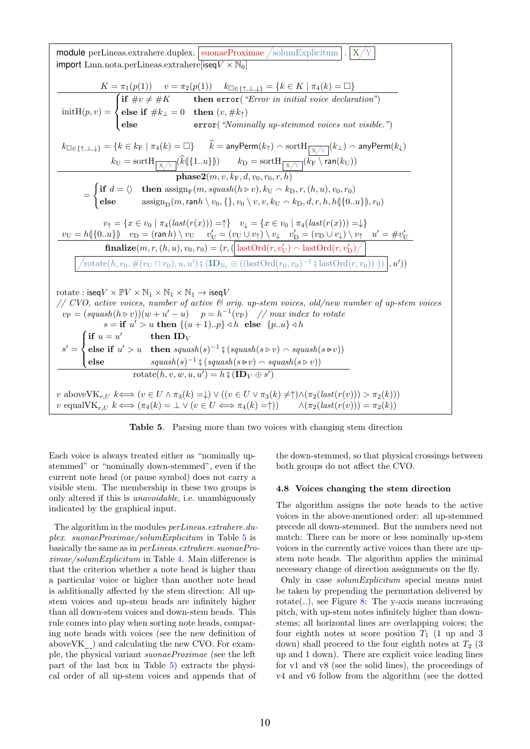$\text{module} \text{ perLines}.\text{extrahere}.\text{duplex}. \big| \text{ suonaeProximae } / \text{solution} \text{Explicitum} \big| . \big| \text{X}$ import Lmn.nota.perLineas.extrahere[iseq $V \times N_0$ ]  $K = \pi_1(p(1))$   $v = \pi_2(p(1))$   $k_{\Box \in \{\uparrow, \bot, \downarrow\}} = \{k \in K \mid \pi_4(k) = \Box\}$  $\text{initH}(p, v) =$  $\sqrt{ }$  $\int$  $\overline{\mathcal{L}}$ if  $\#v \neq \#K$  then error("Error in initial voice declaration") else if  $\#k_{\perp}=0$  then  $(v, \#k_{\uparrow})$ else error("Nominally up-stemmed voices not visible.")  $k_{\Box \in \{\uparrow,\bot,\downarrow\}} = \{ k \in k_{\rm F} \mid \pi_4(k)=\Box \} \qquad \widehat{k}=\textsf{anyPerm}(k_\uparrow) \smallfrown \textsf{sort} {\text{H}}_{\fbox{\begin{textin}} \chi/\!\chi \end{textin}}(k_\perp) \smallfrown \textsf{anyPerm}(k_\downarrow)$ 

 $k_{\mathrm{U}}=\mathrm{sortH}_{\fbox{X}/\mathbb{Y}}[k(\{1..u\}\])\qquad k_{\mathrm{D}}=\mathrm{sortH}_{\fbox{X}/\mathbb{Y}}[k_{\mathrm{F}}\setminus\mathsf{ran}(k_{\mathrm{U}}))$  $\textbf{phase2}(m, v, k_\mathrm{F}, d, v_0, r_0, r, h)$ =  $\int$  if  $d = \langle \rangle$  then  $\text{assign}_{F}(m, \text{squash}(h \triangleright v), k_U \frown k_D, r, (h, u), v_0, r_0)$ 

$$
v_{\uparrow} = \{x \in v_0 \mid \pi_4(last(r(x))) = \uparrow\} \quad v_{\downarrow} = \{x \in v_0 \mid \pi_4(last(r(x))) = \downarrow\}
$$
\n
$$
\frac{v_{\text{U}} = h(\{0..u\}) \quad v_{\text{D}} = (\text{ran } h) \setminus v_{\text{U}} \quad v'_{\text{U}} = (v_{\text{U}} \cup v_{\uparrow}) \setminus v_{\downarrow} \quad v'_{\text{D}} = (v_{\text{D}} \cup v_{\downarrow}) \setminus v_{\uparrow} \quad u' = \#v'_{\text{U}}}{\text{finalize}(m, r, (h, u), v_0, r_0) = (r, (\text{lastOrd}(r, v'_{\text{U}}) \land \text{lastOrd}(r, v'_{\text{D}}))}
$$
\n
$$
\boxed{\text{rotate}(h, v_0, \#(v_{\text{U}} \cap v_0), u, u') \mathbin{\text{min}} \oplus ((\text{lastOrd}(r_0, v_0)^{-1} \mathbin{\text{min}} \text{lastOrd}(r, v_0)))}, u'))}
$$

else  $\text{assign}_D(m, \text{rank} \setminus v_0, \{\}, v_0 \setminus v, v, k_U \frown k_D, d, r, h, h(\{0..u\}), r_0)$ 

rotate : 
$$
iseqV \times \mathbb{P}V \times \mathbb{N}_1 \times \mathbb{N}_1 \times \mathbb{N}_1 \to iseqV
$$
  
\n// CVO, active voices, number of active & orig. up-stem voices, old/news number of up-stem voices  
\n $v_P = (squash(h \triangleright v))(w + u' - u) \quad p = h^{-1}(v_P) \quad \text{// max index to rotate}$   
\n $s = \textbf{if } u' > u \textbf{ then } \{(u+1)..p\} \triangleleft h \textbf{ else } \{p..u\} \triangleleft h$   
\n $s' = \begin{cases} \textbf{if } u = u' & \textbf{then } ID_V \\ \textbf{else } \textbf{if } u' > u & \textbf{then } squash(s)^{-1} \nvert s (squash(s \triangleright v) \land squash(s \triangleright v)) \\ \textbf{else } & squash(s)^{-1} \nvert s (squash(s \triangleright v) \land squash(s \triangleright v)) \end{cases}$   
\n $v \textbf{ above} \mathbb{V} \mathbb{K}_{r,U} k \Longleftrightarrow (v \in U \land \pi_3(k) = \downarrow) \lor ((v \in U \lor \pi_3(k) \neq \uparrow) \land (\pi_2 (last(r(v))) > \pi_2(k)))$   
\n $v \textbf{ equal} \mathbb{V} \mathbb{K}_{r,U} k \Longleftrightarrow (\pi_4(k) = \bot \lor (v \in U \Leftrightarrow \pi_4(k) = \uparrow)) \quad \land (\pi_2 (last(r(v))) = \pi_2(k))$ 



Each voice is always treated either as "nominally upstemmed" or "nominally down-stemmed", even if the current note head (or pause symbol) does not carry a visible stem. The membership in these two groups is only altered if this is unavoidable, i.e. unambiguously indicated by the graphical input.

The algorithm in the modules  $perLines. extrahere.$ plex. suonaeProximae/solumExplicitum in Table 5 is basically the same as in perLineas.extrahere.suonaeProximae/solumExplicitum in Table 4. Main difference is that the criterion whether a note head is higher than a particular voice or higher than another note head is additionally affected by the stem direction: All upstem voices and up-stem heads are infinitely higher than all down-stem voices and down-stem heads. This rule comes into play when sorting note heads, comparing note heads with voices (see the new definition of above $VK_{n}$ ) and calculating the new CVO. For example, the physical variant suonaeProximae (see the left part of the last box in Table 5) extracts the physical order of all up-stem voices and appends that of

the down-stemmed, so that physical crossings between both groups do not affect the CVO.

## 4.8 Voices changing the stem direction

The algorithm assigns the note heads to the active voices in the above-mentioned order: all up-stemmed precede all down-stemmed. But the numbers need not match: There can be more or less nominally up-stem voices in the currently active voices than there are upstem note heads. The algorithm applies the minimal necessary change of direction assignments on the fly.

Only in case solumExplicitum special means must be taken by prepending the permutation delivered by rotate(..), see Figure 8: The y-axis means increasing pitch, with up-stem notes infinitely higher than downstems; all horizontal lines are overlapping voices; the four eighth notes at score position  $T_1$  (1 up and 3 down) shall proceed to the four eighth notes at  $T_2$  (3) up and 1 down). There are explicit voice leading lines for v1 and v8 (see the solid lines), the proceedings of v4 and v6 follow from the algorithm (see the dotted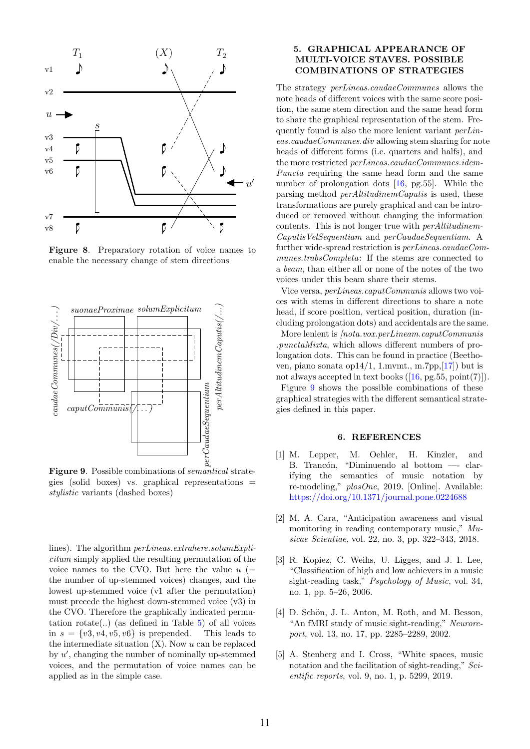

Figure 8. Preparatory rotation of voice names to enable the necessary change of stem directions



Figure 9. Possible combinations of semantical strategies (solid boxes) vs. graphical representations = stylistic variants (dashed boxes)

lines). The algorithm perLineas.extrahere.solumExplicitum simply applied the resulting permutation of the voice names to the CVO. But here the value  $u$  (= the number of up-stemmed voices) changes, and the lowest up-stemmed voice (v1 after the permutation) must precede the highest down-stemmed voice (v3) in the CVO. Therefore the graphically indicated permutation  $rotate(...)$  (as defined in Table 5) of all voices in  $s = \{v3, v4, v5, v6\}$  is prepended. This leads to the intermediate situation  $(X)$ . Now  $u$  can be replaced by  $u'$ , changing the number of nominally up-stemmed voices, and the permutation of voice names can be applied as in the simple case.

# 5. GRAPHICAL APPEARANCE OF MULTI-VOICE STAVES. POSSIBLE COMBINATIONS OF STRATEGIES

The strategy perLineas.caudaeCommunes allows the note heads of different voices with the same score position, the same stem direction and the same head form to share the graphical representation of the stem. Frequently found is also the more lenient variant perLineas.caudaeCommunes.div allowing stem sharing for note heads of different forms (i.e. quarters and halfs), and the more restricted perLineas.caudaeCommunes.idem-Puncta requiring the same head form and the same number of prolongation dots [16, pg.55]. While the parsing method perAltitudinemCaputis is used, these transformations are purely graphical and can be introduced or removed without changing the information contents. This is not longer true with perAltitudinem-CaputisVelSequentiam and perCaudaeSequentiam. A further wide-spread restriction is perLineas.caudaeCommunes.trabsCompleta: If the stems are connected to a beam, than either all or none of the notes of the two voices under this beam share their stems.

Vice versa, perLineas.caputCommunis allows two voices with stems in different directions to share a note head, if score position, vertical position, duration (including prolongation dots) and accidentals are the same.

More lenient is *[nota.vox.perLineam.caputCommunis* .punctaMixta, which allows different numbers of prolongation dots. This can be found in practice (Beethoven, piano sonata op14/1, 1.mvmt., m.7pp,[17]) but is not always accepted in text books  $([16, pg.55, point(7)]).$ 

Figure 9 shows the possible combinations of these graphical strategies with the different semantical strategies defined in this paper.

# 6. REFERENCES

- [1] M. Lepper, M. Oehler, H. Kinzler, and B. Trancón, "Diminuendo al bottom —- clarifying the semantics of music notation by re-modeling," plosOne, 2019. [Online]. Available: <https://doi.org/10.1371/journal.pone.0224688>
- [2] M. A. Cara, "Anticipation awareness and visual monitoring in reading contemporary music," Musicae Scientiae, vol. 22, no. 3, pp. 322–343, 2018.
- [3] R. Kopiez, C. Weihs, U. Ligges, and J. I. Lee, "Classification of high and low achievers in a music sight-reading task," *Psychology of Music*, vol. 34, no. 1, pp. 5–26, 2006.
- [4] D. Schön, J. L. Anton, M. Roth, and M. Besson, "An fMRI study of music sight-reading," Neuroreport, vol. 13, no. 17, pp. 2285–2289, 2002.
- [5] A. Stenberg and I. Cross, "White spaces, music notation and the facilitation of sight-reading," Scientific reports, vol. 9, no. 1, p. 5299, 2019.